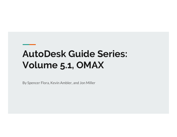## AutoDesk Guide Series: Volume 5.1, OMAX

By Spencer Flora, Kevin Ambler, and Jon Miller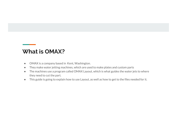#### What is OMAX?

- OMAX is a company based in Kent, Washington.
- They make water jetting machines, which are used to make plates and custom parts
- The machines use a program called OMAX Layout, which is what guides the water jets to where they need to cut the part.
- This guide is going to explain how to use Layout, as well as how to get to the files needed for it.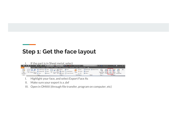#### Step 1: Get the face layout



- 
- 
-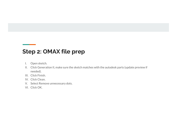#### Step 2: OMAX file prep

- 
- **I. Step 2: OMAX file prep<br>
I. Open sketch.**<br>
II. Click Generation II, make sure the sketch matches with the needed).<br>
III. Click Finish. **II. Click Generation II, make sure the sketch matches with the autodesk parts (update preview if<br>II. Click Generation II, make sure the sketch matches with the autodesk parts (update preview if<br>III. Click Finish.<br>IV. Clic** needed). **ICED 2: OMAX file prep<br>
I.** Open sketch.<br>
II. Click Generation II, make sure the sketch matches with the<br>
III. Click Finish.<br>
IV. Click Clean.<br>
V. Select Remove unnecessary dots.<br>
VI. Click OK. **ICED 2: OMAX file prep<br>
I.** Open sketch.<br>
II. Click Generation II, make sure the sketch matches with the<br>
needed).<br>
III. Click Clean.<br>
IV. Click Clean.<br>
V. Select Remove unnecessary dots.<br>
VI. Click OK. **Step 2: OMAX file prep**<br>
I. Open sketch.<br>
II. Click Generation II, make sure the sketch matches with the<br>
needed).<br>
III. Click Finish.<br>
IV. Click Clean.<br>
V. Select Remove unnecessary dots.<br>
VI. Click OK. **Example: 2: OMAX file prep**<br>
I. Open sketch.<br>
II. Click Generation II, make sure the sketch matches with the<br>
needed).<br>
III. Click Clean.<br>
V. Click Clean.<br>
V. Select Remove unnecessary dots.<br>
VI. Click OK.
- 
- 
- 
-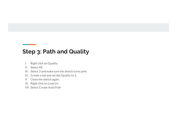# Step 3: Path and Quality **I. Path and Quality**<br>I. Right click on Quality.<br>II. Select All.<br>III. Select 3 and make sure the sketch turns pink.<br>IV. Create a tab and set the Quality to 3. **ILED 3: Path and Quality<br>I.** Right click on Quality.<br>II. Select All.<br>III. Select 3 and make sure the sketch turns pink.<br>IV. Create a tab and set the Quality to 3.<br>V. Clean the sketch again. **II. Path and Quality**<br>
I. Right click on Quality.<br>
II. Select All.<br>
III. Select 3 and make sure the sketch turns pink.<br>
IV. Create a tab and set the Quality to 3.<br>
V. Clean the sketch again.<br>
VI. Right click on Lead i/o. **ICEP 3: Path and Quality<br>
I.** Right click on Quality.<br>
II. Select All.<br>
III. Select 3 and make sure the sketch turns pink.<br>
IV. Create a tab and set the Quality to 3.<br>
V. Clean the sketch again.<br>
VI. Right click on Lead i **Step 3: Path and Quality**<br> **P. A. A. A. A. A. A. A. A. A. A. Select All.**<br>
II. Select All.<br>
III. Select 3 and make sure the sketch turns pink.<br>
IV. Create a tab and set the Quality to 3.<br>
V. Clean the sketch again.<br>
VI. R **Step 3: Path and Quality**<br>
I. Right click on Quality.<br>
II. Select All.<br>
III. Select 3 and make sure the sketch turns pink.<br>
IV. Create a tab and set the Quality to 3.<br>
V. Clean the sketch again.<br>
VI. Right click on Lead i **Step 3: Path and Quality**<br>
I. Right click on Quality.<br>
II. Select All.<br>
III. Select 3 and make sure the sketch turns pink.<br>
IV. Create a tab and set the Quality to 3.<br>
V. Clean the sketch again.<br>
VI. Right click on Lead i

- 
- 
- 
- 
- 
- 
-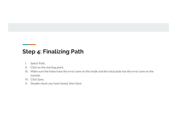### Step 4: Finalizing Path

- 
- 
- **I. Select Path.**<br>I. Select Path.<br>II. Click on the starting point.<br>III. Make sure the holes have the error zone on the inside and<br>outside. **II. Select Path.**<br>II. Select Path.<br>II. Click on the starting point.<br>III. Make sure the holes have the error zone on the inside and<br>outside.<br>IV. Click Save. **III.**<br>
I. Select Path.<br>
II. Click on the starting point.<br>
III. Make sure the holes have the error zone on the inside and the total plate has the error zone on the outside.<br>
V. Click Save.<br>
V. Double check you have Saved, outside. **ICED 4: Finalizing Path**<br>I. Select Path.<br>II. Click on the starting point.<br>III. Make sure the holes have the error zone on the inside and<br>outside.<br>IV. Click Save.<br>V. Double check you have Saved, then Save. **Step 4: Finalizing Path**<br>
I. Select Path.<br>
II. Click on the starting point.<br>
III. Make sure the holes have the error zone on the inside and<br>
outside.<br>
IV. Click Save.<br>
V. Double check you have Saved, then Save.
- 
-